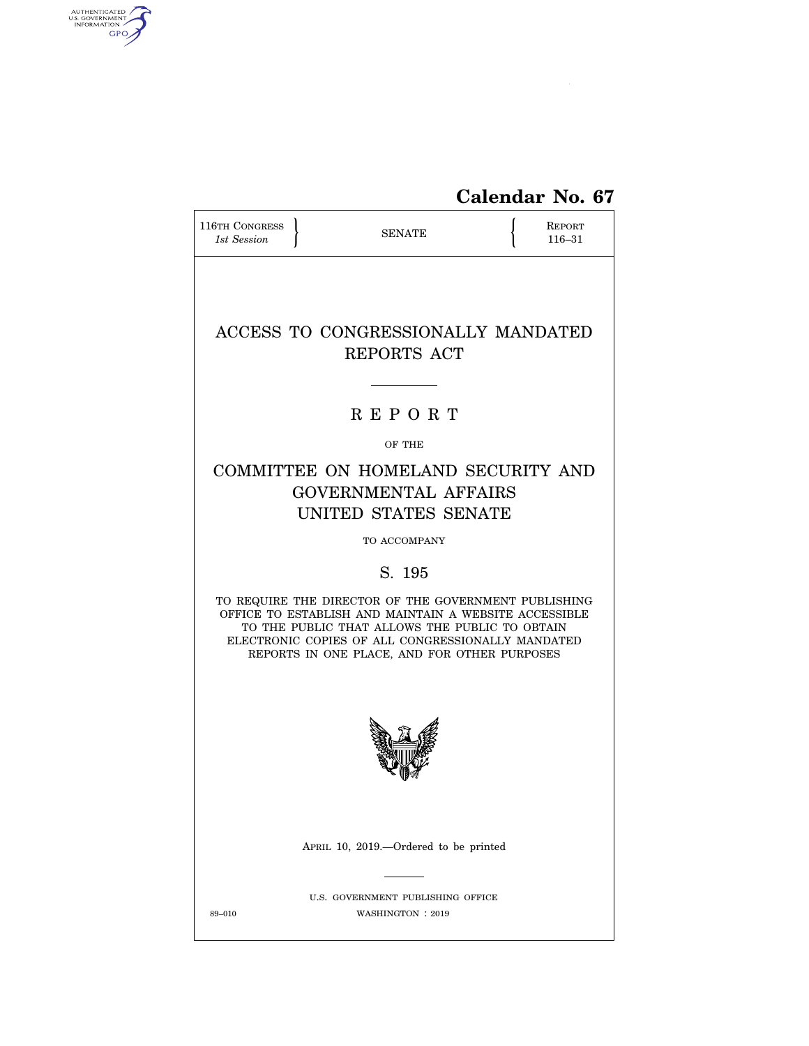

| <b>116TH CONGRESS</b><br>1st Session |                                                                                                                                                                                                                                                                      | <b>SENATE</b>                                          | <b>REPORT</b><br>116-31 |
|--------------------------------------|----------------------------------------------------------------------------------------------------------------------------------------------------------------------------------------------------------------------------------------------------------------------|--------------------------------------------------------|-------------------------|
|                                      | ACCESS TO CONGRESSIONALLY MANDATED                                                                                                                                                                                                                                   | REPORTS ACT                                            |                         |
|                                      |                                                                                                                                                                                                                                                                      | <b>REPORT</b>                                          |                         |
|                                      |                                                                                                                                                                                                                                                                      | OF THE                                                 |                         |
|                                      | COMMITTEE ON HOMELAND SECURITY AND<br><b>GOVERNMENTAL AFFAIRS</b><br>UNITED STATES SENATE                                                                                                                                                                            |                                                        |                         |
|                                      |                                                                                                                                                                                                                                                                      | TO ACCOMPANY                                           |                         |
|                                      |                                                                                                                                                                                                                                                                      | S. 195                                                 |                         |
|                                      | TO REQUIRE THE DIRECTOR OF THE GOVERNMENT PUBLISHING<br>OFFICE TO ESTABLISH AND MAINTAIN A WEBSITE ACCESSIBLE<br>TO THE PUBLIC THAT ALLOWS THE PUBLIC TO OBTAIN<br>ELECTRONIC COPIES OF ALL CONGRESSIONALLY MANDATED<br>REPORTS IN ONE PLACE, AND FOR OTHER PURPOSES |                                                        |                         |
|                                      |                                                                                                                                                                                                                                                                      |                                                        |                         |
|                                      | APRIL 10, 2019.—Ordered to be printed                                                                                                                                                                                                                                |                                                        |                         |
| 89-010                               |                                                                                                                                                                                                                                                                      | U.S. GOVERNMENT PUBLISHING OFFICE<br>WASHINGTON : 2019 |                         |

AUTHENTICATED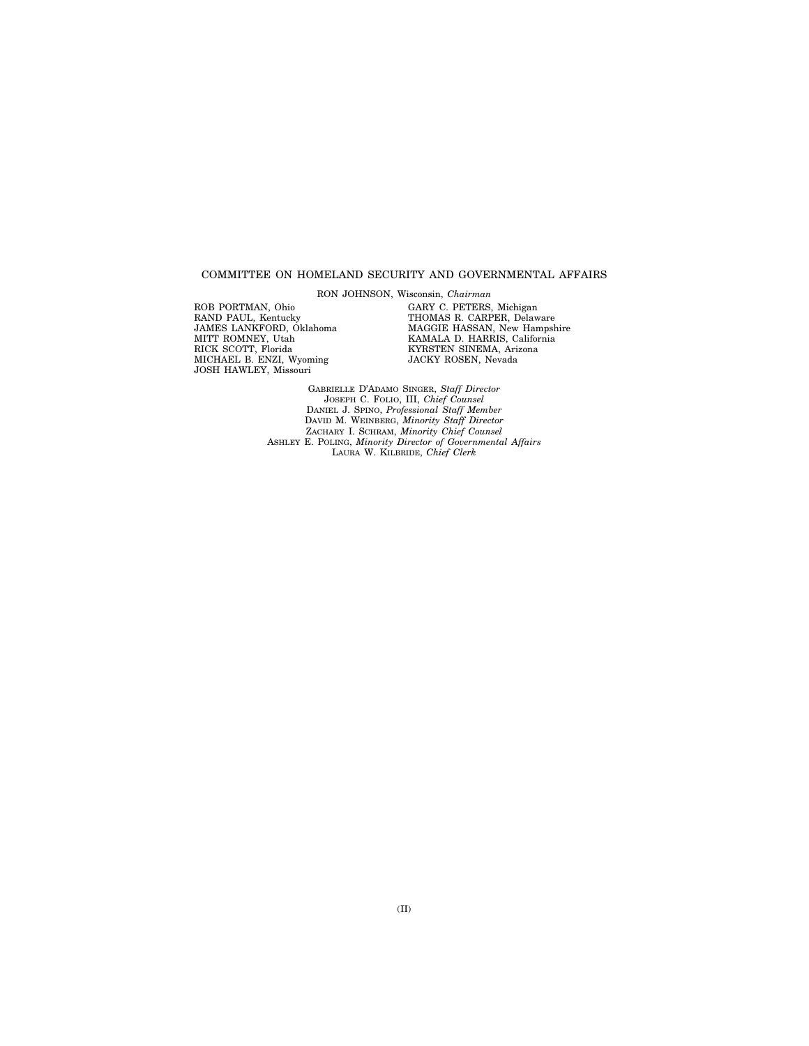#### COMMITTEE ON HOMELAND SECURITY AND GOVERNMENTAL AFFAIRS

RON JOHNSON, Wisconsin, *Chairman* 

ROB PORTMAN, Ohio RAND PAUL, Kentucky JAMES LANKFORD, Oklahoma MITT ROMNEY, Utah RICK SCOTT, Florida MICHAEL B. ENZI, Wyoming JOSH HAWLEY, Missouri

GARY C. PETERS, Michigan THOMAS R. CARPER, Delaware MAGGIE HASSAN, New Hampshire KAMALA D. HARRIS, California KYRSTEN SINEMA, Arizona JACKY ROSEN, Nevada

GABRIELLE D'ADAMO SINGER, *Staff Director*  JOSEPH C. FOLIO, III, *Chief Counsel*  DANIEL J. SPINO, *Professional Staff Member*  DAVID M. WEINBERG, *Minority Staff Director*  ZACHARY I. SCHRAM, *Minority Chief Counsel*  ASHLEY E. POLING, *Minority Director of Governmental Affairs*  LAURA W. KILBRIDE, *Chief Clerk*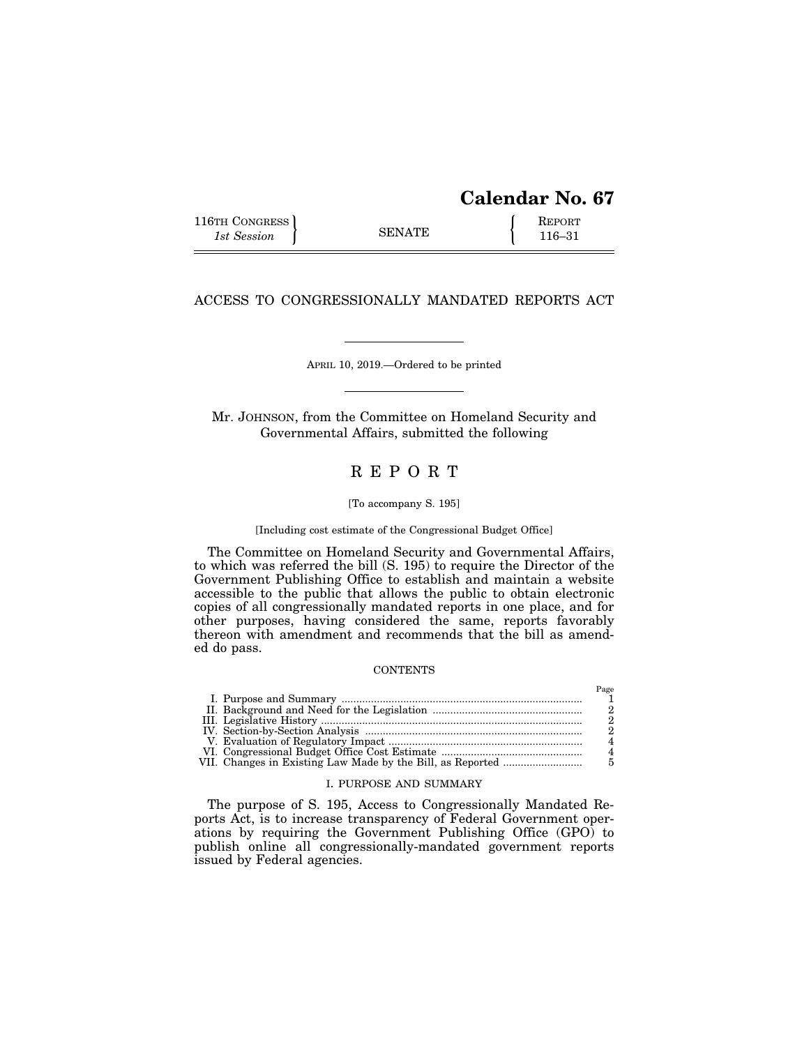# **Calendar No. 67**

Page

| 116TH CONGRESS |               | <b>REPORT</b> |
|----------------|---------------|---------------|
| 1st Session    | <b>SENATE</b> | $116 - 31$    |

## ACCESS TO CONGRESSIONALLY MANDATED REPORTS ACT

APRIL 10, 2019.—Ordered to be printed

Mr. JOHNSON, from the Committee on Homeland Security and Governmental Affairs, submitted the following

## R E P O R T

#### [To accompany S. 195]

## [Including cost estimate of the Congressional Budget Office]

The Committee on Homeland Security and Governmental Affairs, to which was referred the bill (S. 195) to require the Director of the Government Publishing Office to establish and maintain a website accessible to the public that allows the public to obtain electronic copies of all congressionally mandated reports in one place, and for other purposes, having considered the same, reports favorably thereon with amendment and recommends that the bill as amended do pass.

### **CONTENTS**

|  | 1 agu |
|--|-------|
|  |       |
|  |       |
|  |       |
|  |       |
|  |       |
|  |       |
|  |       |
|  |       |

## I. PURPOSE AND SUMMARY

The purpose of S. 195, Access to Congressionally Mandated Reports Act, is to increase transparency of Federal Government operations by requiring the Government Publishing Office (GPO) to publish online all congressionally-mandated government reports issued by Federal agencies.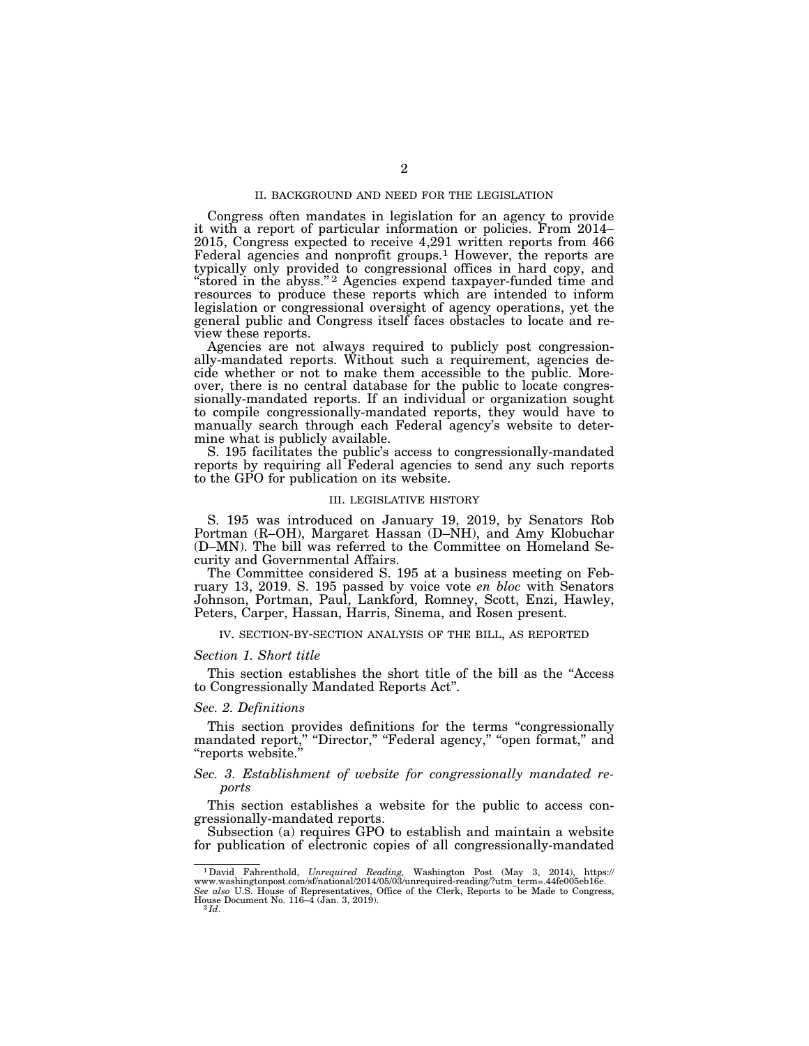#### II. BACKGROUND AND NEED FOR THE LEGISLATION

Congress often mandates in legislation for an agency to provide it with a report of particular information or policies. From 2014– 2015, Congress expected to receive 4,291 written reports from 466 Federal agencies and nonprofit groups.<sup>1</sup> However, the reports are typically only provided to congressional offices in hard copy, and ''stored in the abyss.'' 2 Agencies expend taxpayer-funded time and resources to produce these reports which are intended to inform legislation or congressional oversight of agency operations, yet the general public and Congress itself faces obstacles to locate and review these reports.

Agencies are not always required to publicly post congressionally-mandated reports. Without such a requirement, agencies decide whether or not to make them accessible to the public. Moreover, there is no central database for the public to locate congressionally-mandated reports. If an individual or organization sought to compile congressionally-mandated reports, they would have to manually search through each Federal agency's website to determine what is publicly available.

S. 195 facilitates the public's access to congressionally-mandated reports by requiring all Federal agencies to send any such reports to the GPO for publication on its website.

#### III. LEGISLATIVE HISTORY

S. 195 was introduced on January 19, 2019, by Senators Rob Portman (R–OH), Margaret Hassan (D–NH), and Amy Klobuchar (D–MN). The bill was referred to the Committee on Homeland Security and Governmental Affairs.

The Committee considered S. 195 at a business meeting on February 13, 2019. S. 195 passed by voice vote *en bloc* with Senators Johnson, Portman, Paul, Lankford, Romney, Scott, Enzi, Hawley, Peters, Carper, Hassan, Harris, Sinema, and Rosen present.

IV. SECTION-BY-SECTION ANALYSIS OF THE BILL, AS REPORTED

#### *Section 1. Short title*

This section establishes the short title of the bill as the ''Access to Congressionally Mandated Reports Act''.

## *Sec. 2. Definitions*

This section provides definitions for the terms ''congressionally mandated report," "Director," "Federal agency," "open format," and ''reports website.''

## *Sec. 3. Establishment of website for congressionally mandated reports*

This section establishes a website for the public to access congressionally-mandated reports.

Subsection (a) requires GPO to establish and maintain a website for publication of electronic copies of all congressionally-mandated

<sup>1</sup>David Fahrenthold, *Unrequired Reading,* Washington Post (May 3, 2014), https:// www.washingtonpost.com/sf/national/2014/05/03/unrequired-reading/?utm\_term=.44fe005eb16e. See also U.S. House of Representatives, Office of the Clerk, Reports to be Made to Congress, House Document No. 116–4 (Jan. 3, 2019).<br><sup>2</sup> *Id.* 2 *Id.*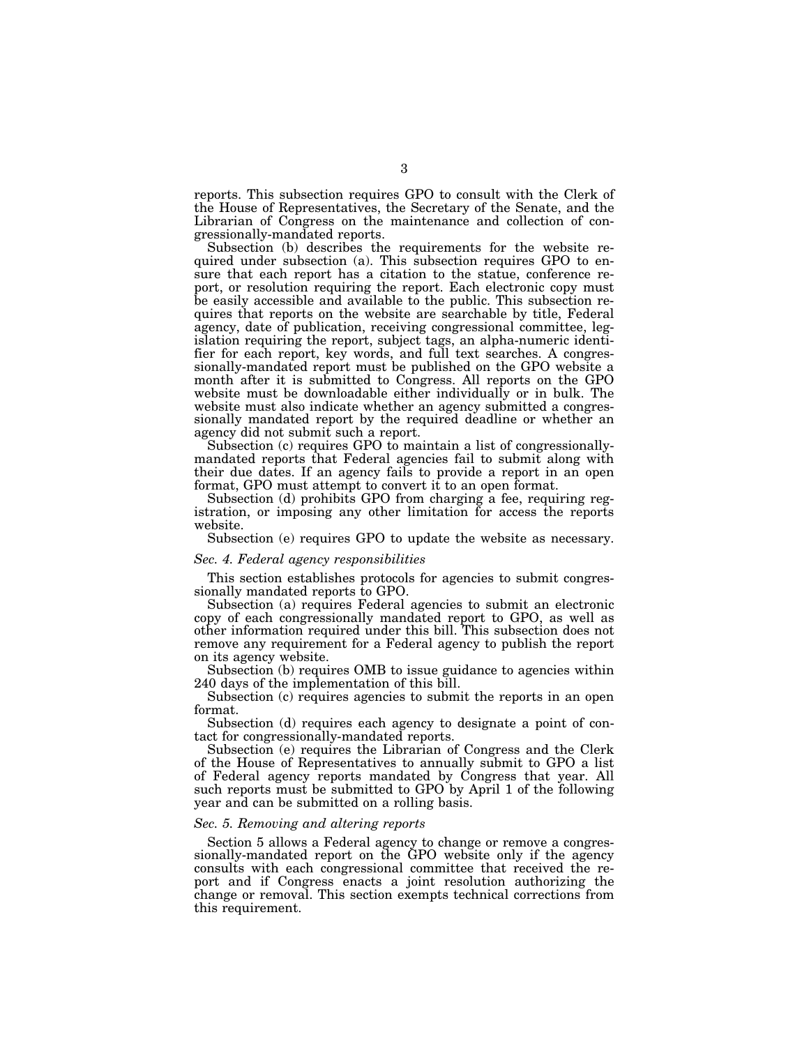reports. This subsection requires GPO to consult with the Clerk of the House of Representatives, the Secretary of the Senate, and the Librarian of Congress on the maintenance and collection of congressionally-mandated reports.

Subsection (b) describes the requirements for the website required under subsection (a). This subsection requires GPO to ensure that each report has a citation to the statue, conference report, or resolution requiring the report. Each electronic copy must be easily accessible and available to the public. This subsection requires that reports on the website are searchable by title, Federal agency, date of publication, receiving congressional committee, legislation requiring the report, subject tags, an alpha-numeric identifier for each report, key words, and full text searches. A congressionally-mandated report must be published on the GPO website a month after it is submitted to Congress. All reports on the GPO website must be downloadable either individually or in bulk. The website must also indicate whether an agency submitted a congressionally mandated report by the required deadline or whether an agency did not submit such a report.

Subsection (c) requires GPO to maintain a list of congressionallymandated reports that Federal agencies fail to submit along with their due dates. If an agency fails to provide a report in an open format, GPO must attempt to convert it to an open format.

Subsection (d) prohibits GPO from charging a fee, requiring registration, or imposing any other limitation for access the reports website.

Subsection (e) requires GPO to update the website as necessary.

#### *Sec. 4. Federal agency responsibilities*

This section establishes protocols for agencies to submit congressionally mandated reports to GPO.

Subsection (a) requires Federal agencies to submit an electronic copy of each congressionally mandated report to GPO, as well as other information required under this bill. This subsection does not remove any requirement for a Federal agency to publish the report on its agency website.

Subsection (b) requires OMB to issue guidance to agencies within 240 days of the implementation of this bill.

Subsection (c) requires agencies to submit the reports in an open format.

Subsection (d) requires each agency to designate a point of contact for congressionally-mandated reports.

Subsection (e) requires the Librarian of Congress and the Clerk of the House of Representatives to annually submit to GPO a list of Federal agency reports mandated by Congress that year. All such reports must be submitted to GPO by April 1 of the following year and can be submitted on a rolling basis.

#### *Sec. 5. Removing and altering reports*

Section 5 allows a Federal agency to change or remove a congressionally-mandated report on the GPO website only if the agency consults with each congressional committee that received the report and if Congress enacts a joint resolution authorizing the change or removal. This section exempts technical corrections from this requirement.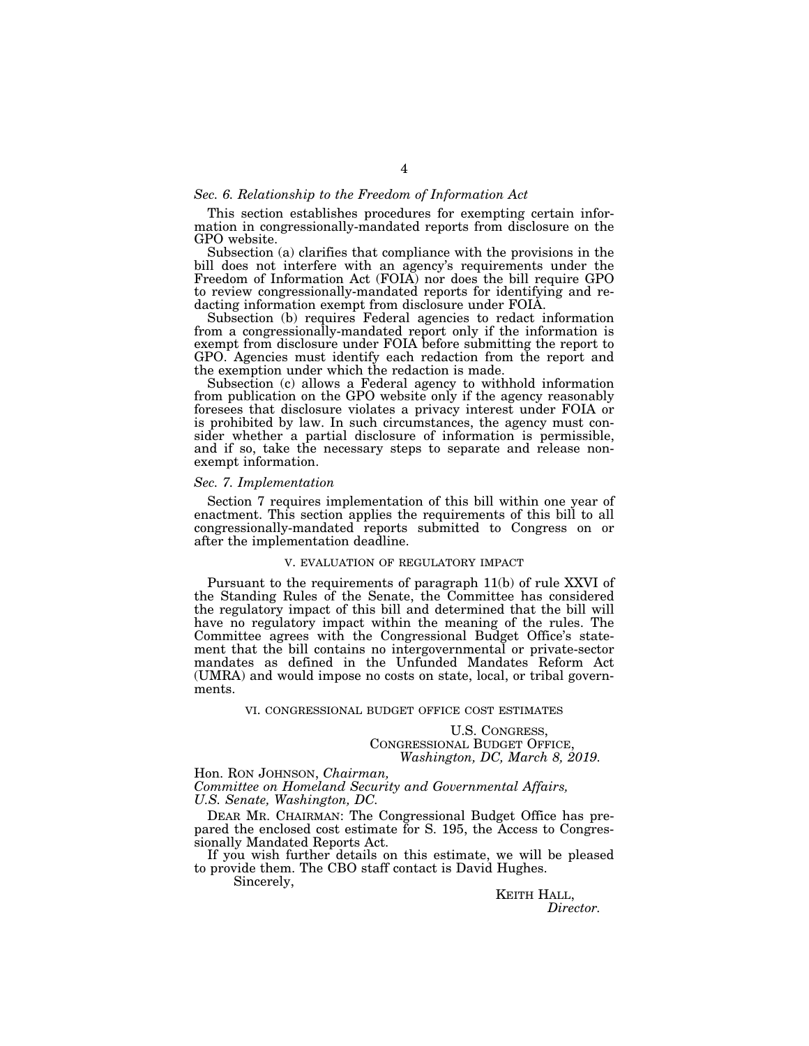#### *Sec. 6. Relationship to the Freedom of Information Act*

This section establishes procedures for exempting certain information in congressionally-mandated reports from disclosure on the GPO website.

Subsection (a) clarifies that compliance with the provisions in the bill does not interfere with an agency's requirements under the Freedom of Information Act (FOIA) nor does the bill require GPO to review congressionally-mandated reports for identifying and redacting information exempt from disclosure under FOIA.

Subsection (b) requires Federal agencies to redact information from a congressionally-mandated report only if the information is exempt from disclosure under FOIA before submitting the report to GPO. Agencies must identify each redaction from the report and the exemption under which the redaction is made.

Subsection (c) allows a Federal agency to withhold information from publication on the GPO website only if the agency reasonably foresees that disclosure violates a privacy interest under FOIA or is prohibited by law. In such circumstances, the agency must consider whether a partial disclosure of information is permissible, and if so, take the necessary steps to separate and release nonexempt information.

#### *Sec. 7. Implementation*

Section 7 requires implementation of this bill within one year of enactment. This section applies the requirements of this bill to all congressionally-mandated reports submitted to Congress on or after the implementation deadline.

## V. EVALUATION OF REGULATORY IMPACT

Pursuant to the requirements of paragraph 11(b) of rule XXVI of the Standing Rules of the Senate, the Committee has considered the regulatory impact of this bill and determined that the bill will have no regulatory impact within the meaning of the rules. The Committee agrees with the Congressional Budget Office's statement that the bill contains no intergovernmental or private-sector mandates as defined in the Unfunded Mandates Reform Act (UMRA) and would impose no costs on state, local, or tribal governments.

VI. CONGRESSIONAL BUDGET OFFICE COST ESTIMATES

U.S. CONGRESS, CONGRESSIONAL BUDGET OFFICE, *Washington, DC, March 8, 2019.* 

Hon. RON JOHNSON, *Chairman, Committee on Homeland Security and Governmental Affairs, U.S. Senate, Washington, DC.* 

DEAR MR. CHAIRMAN: The Congressional Budget Office has prepared the enclosed cost estimate for S. 195, the Access to Congressionally Mandated Reports Act.

If you wish further details on this estimate, we will be pleased to provide them. The CBO staff contact is David Hughes.

Sincerely,

KEITH HALL, *Director.*